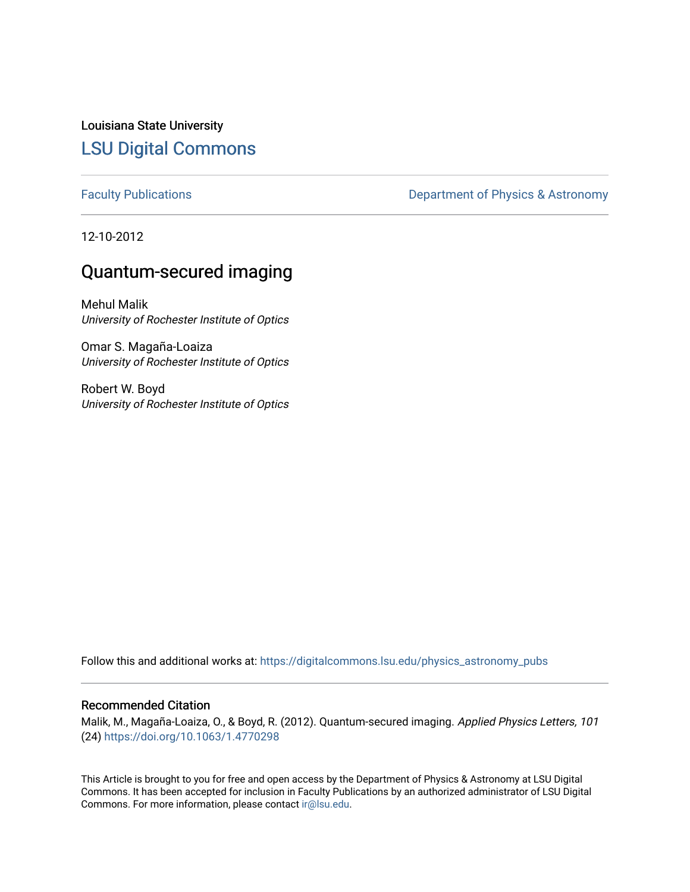Louisiana State University [LSU Digital Commons](https://digitalcommons.lsu.edu/)

[Faculty Publications](https://digitalcommons.lsu.edu/physics_astronomy_pubs) **Exercise 2** Constant Department of Physics & Astronomy

12-10-2012

# Quantum-secured imaging

Mehul Malik University of Rochester Institute of Optics

Omar S. Magaña-Loaiza University of Rochester Institute of Optics

Robert W. Boyd University of Rochester Institute of Optics

Follow this and additional works at: [https://digitalcommons.lsu.edu/physics\\_astronomy\\_pubs](https://digitalcommons.lsu.edu/physics_astronomy_pubs?utm_source=digitalcommons.lsu.edu%2Fphysics_astronomy_pubs%2F3035&utm_medium=PDF&utm_campaign=PDFCoverPages) 

## Recommended Citation

Malik, M., Magaña-Loaiza, O., & Boyd, R. (2012). Quantum-secured imaging. Applied Physics Letters, 101 (24) <https://doi.org/10.1063/1.4770298>

This Article is brought to you for free and open access by the Department of Physics & Astronomy at LSU Digital Commons. It has been accepted for inclusion in Faculty Publications by an authorized administrator of LSU Digital Commons. For more information, please contact [ir@lsu.edu](mailto:ir@lsu.edu).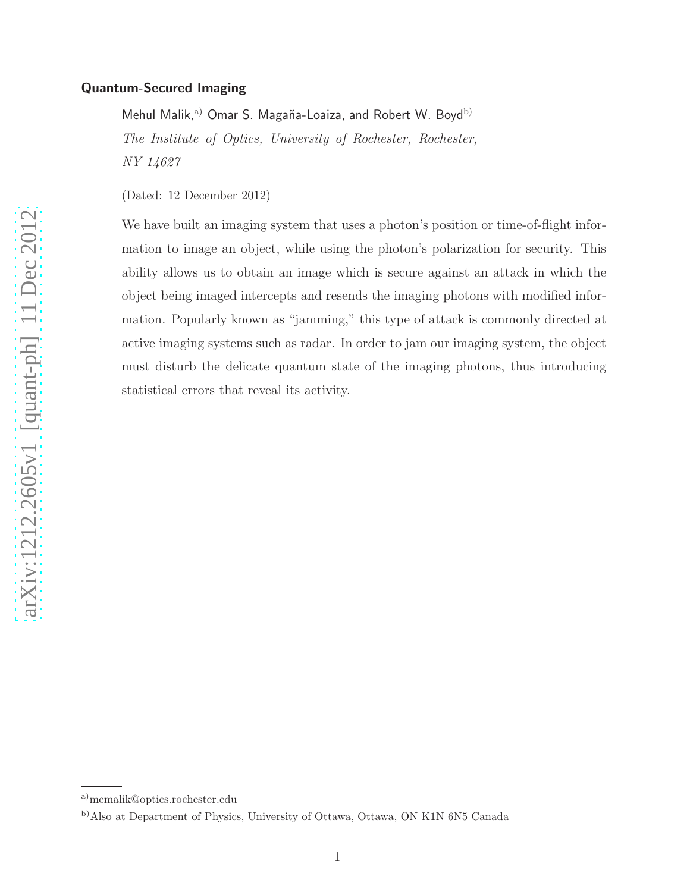### Quantum-Secured Imaging

Mehul Malik,<sup>a)</sup> Omar S. Magaña-Loaiza, and Robert W. Boyd<sup>b)</sup> The Institute of Optics, University of Rochester, Rochester, NY 14627

(Dated: 12 December 2012)

We have built an imaging system that uses a photon's position or time-of-flight information to image an object, while using the photon's polarization for security. This ability allows us to obtain an image which is secure against an attack in which the object being imaged intercepts and resends the imaging photons with modified information. Popularly known as "jamming," this type of attack is commonly directed at active imaging systems such as radar. In order to jam our imaging system, the object must disturb the delicate quantum state of the imaging photons, thus introducing statistical errors that reveal its activity.

a)memalik@optics.rochester.edu

b)Also at Department of Physics, University of Ottawa, Ottawa, ON K1N 6N5 Canada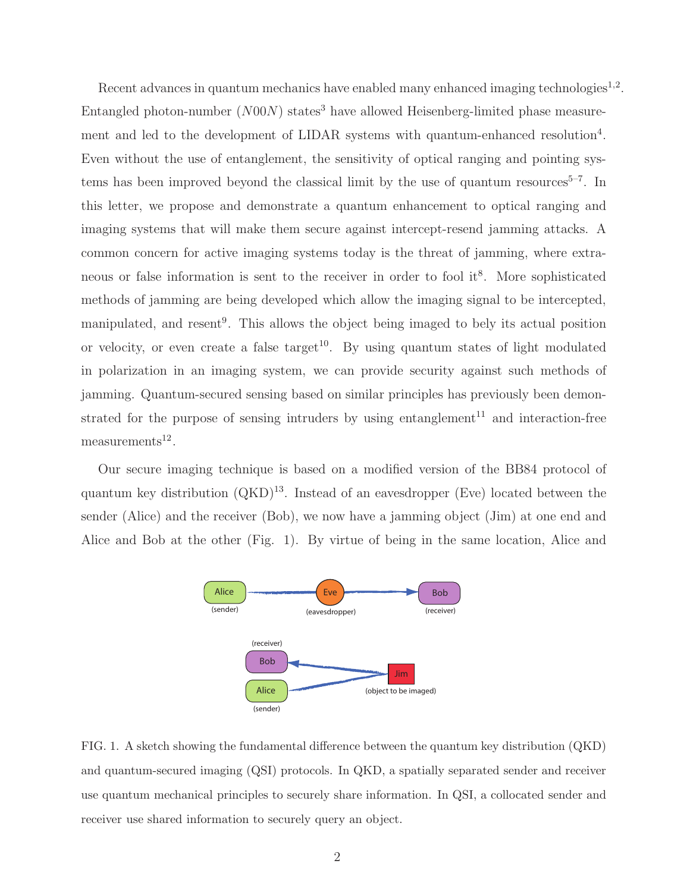Recent advances in quantum mechanics have enabled many enhanced imaging technologies $^{1,2}$ . Entangled photon-number  $(NO0N)$  states<sup>3</sup> have allowed Heisenberg-limited phase measurement and led to the development of LIDAR systems with quantum-enhanced resolution<sup>4</sup>. Even without the use of entanglement, the sensitivity of optical ranging and pointing systems has been improved beyond the classical limit by the use of quantum resources $5-7$ . In this letter, we propose and demonstrate a quantum enhancement to optical ranging and imaging systems that will make them secure against intercept-resend jamming attacks. A common concern for active imaging systems today is the threat of jamming, where extraneous or false information is sent to the receiver in order to fool it<sup>8</sup>. More sophisticated methods of jamming are being developed which allow the imaging signal to be intercepted, manipulated, and resent<sup>9</sup>. This allows the object being imaged to bely its actual position or velocity, or even create a false target<sup>10</sup>. By using quantum states of light modulated in polarization in an imaging system, we can provide security against such methods of jamming. Quantum-secured sensing based on similar principles has previously been demonstrated for the purpose of sensing intruders by using entanglement<sup>11</sup> and interaction-free  $measures<sup>12</sup>$ .

Our secure imaging technique is based on a modified version of the BB84 protocol of quantum key distribution  $(QKD)^{13}$ . Instead of an eavesdropper (Eve) located between the sender (Alice) and the receiver (Bob), we now have a jamming object (Jim) at one end and Alice and Bob at the other (Fig. 1). By virtue of being in the same location, Alice and



FIG. 1. A sketch showing the fundamental difference between the quantum key distribution (QKD) and quantum-secured imaging (QSI) protocols. In QKD, a spatially separated sender and receiver use quantum mechanical principles to securely share information. In QSI, a collocated sender and receiver use shared information to securely query an object.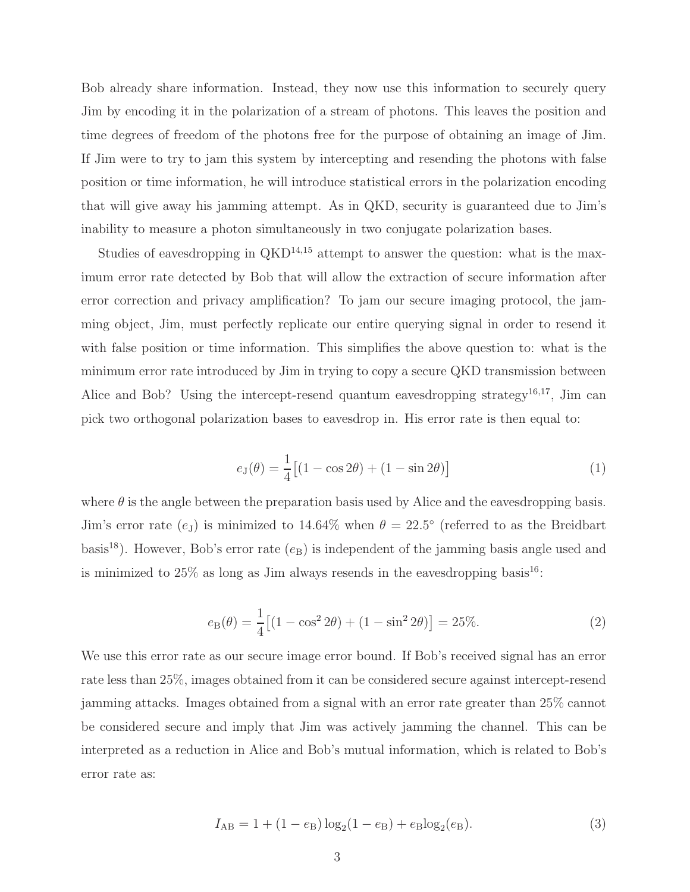Bob already share information. Instead, they now use this information to securely query Jim by encoding it in the polarization of a stream of photons. This leaves the position and time degrees of freedom of the photons free for the purpose of obtaining an image of Jim. If Jim were to try to jam this system by intercepting and resending the photons with false position or time information, he will introduce statistical errors in the polarization encoding that will give away his jamming attempt. As in QKD, security is guaranteed due to Jim's inability to measure a photon simultaneously in two conjugate polarization bases.

Studies of eavesdropping in  $QKD^{14,15}$  attempt to answer the question: what is the maximum error rate detected by Bob that will allow the extraction of secure information after error correction and privacy amplification? To jam our secure imaging protocol, the jamming object, Jim, must perfectly replicate our entire querying signal in order to resend it with false position or time information. This simplifies the above question to: what is the minimum error rate introduced by Jim in trying to copy a secure QKD transmission between Alice and Bob? Using the intercept-resend quantum eavesdropping strategy<sup>16,17</sup>, Jim can pick two orthogonal polarization bases to eavesdrop in. His error rate is then equal to:

$$
e_{\mathcal{J}}(\theta) = \frac{1}{4} \left[ (1 - \cos 2\theta) + (1 - \sin 2\theta) \right]
$$
 (1)

where  $\theta$  is the angle between the preparation basis used by Alice and the eavesdropping basis. Jim's error rate  $(e_J)$  is minimized to 14.64% when  $\theta = 22.5^{\circ}$  (referred to as the Breidbart basis<sup>18</sup>). However, Bob's error rate  $(e_B)$  is independent of the jamming basis angle used and is minimized to  $25\%$  as long as Jim always resends in the eavesdropping basis<sup>16</sup>:

$$
e_{\mathcal{B}}(\theta) = \frac{1}{4} \left[ (1 - \cos^2 2\theta) + (1 - \sin^2 2\theta) \right] = 25\%.
$$
 (2)

We use this error rate as our secure image error bound. If Bob's received signal has an error rate less than 25%, images obtained from it can be considered secure against intercept-resend jamming attacks. Images obtained from a signal with an error rate greater than 25% cannot be considered secure and imply that Jim was actively jamming the channel. This can be interpreted as a reduction in Alice and Bob's mutual information, which is related to Bob's error rate as:

$$
I_{AB} = 1 + (1 - e_B) \log_2(1 - e_B) + e_B \log_2(e_B).
$$
 (3)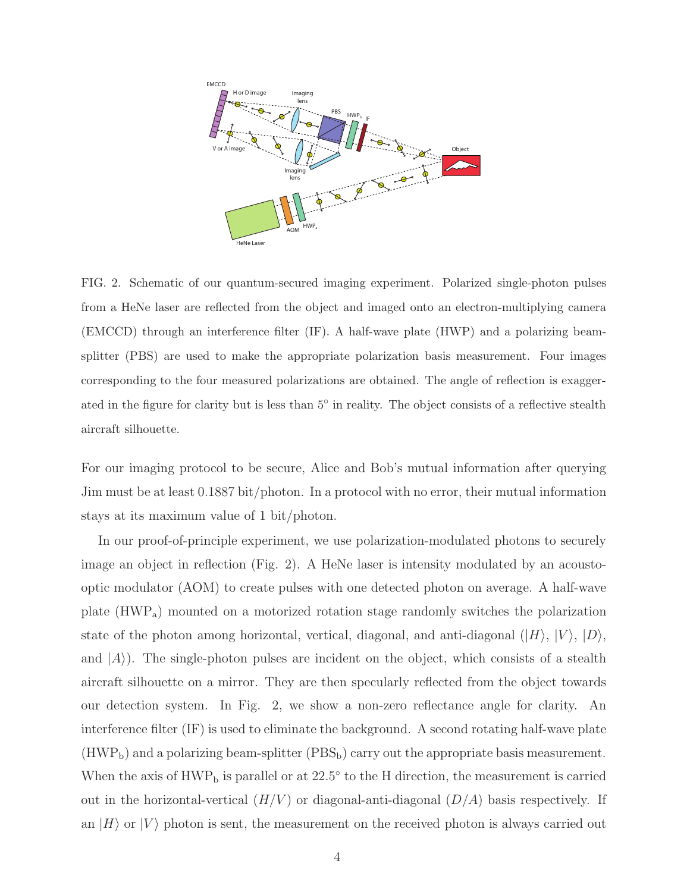

FIG. 2. Schematic of our quantum-secured imaging experiment. Polarized single-photon pulses from a HeNe laser are reflected from the object and imaged onto an electron-multiplying camera (EMCCD) through an interference filter (IF). A half-wave plate (HWP) and a polarizing beamsplitter (PBS) are used to make the appropriate polarization basis measurement. Four images corresponding to the four measured polarizations are obtained. The angle of reflection is exaggerated in the figure for clarity but is less than  $5^{\circ}$  in reality. The object consists of a reflective stealth aircraft silhouette.

For our imaging protocol to be secure, Alice and Bob's mutual information after querying Jim must be at least 0.1887 bit/photon. In a protocol with no error, their mutual information stays at its maximum value of 1 bit/photon.

In our proof-of-principle experiment, we use polarization-modulated photons to securely image an object in reflection (Fig. 2). A HeNe laser is intensity modulated by an acoustooptic modulator (AOM) to create pulses with one detected photon on average. A half-wave plate (HWPa) mounted on a motorized rotation stage randomly switches the polarization state of the photon among horizontal, vertical, diagonal, and anti-diagonal  $(|H\rangle, |V\rangle, |D\rangle,$ and  $|A\rangle$ ). The single-photon pulses are incident on the object, which consists of a stealth aircraft silhouette on a mirror. They are then specularly reflected from the object towards our detection system. In Fig. 2, we show a non-zero reflectance angle for clarity. An interference filter (IF) is used to eliminate the background. A second rotating half-wave plate  $(HWP<sub>b</sub>)$  and a polarizing beam-splitter  $(PBS<sub>b</sub>)$  carry out the appropriate basis measurement. When the axis of  $HWP_b$  is parallel or at 22.5 $\degree$  to the H direction, the measurement is carried out in the horizontal-vertical  $(H/V)$  or diagonal-anti-diagonal  $(D/A)$  basis respectively. If an  $|H\rangle$  or  $|V\rangle$  photon is sent, the measurement on the received photon is always carried out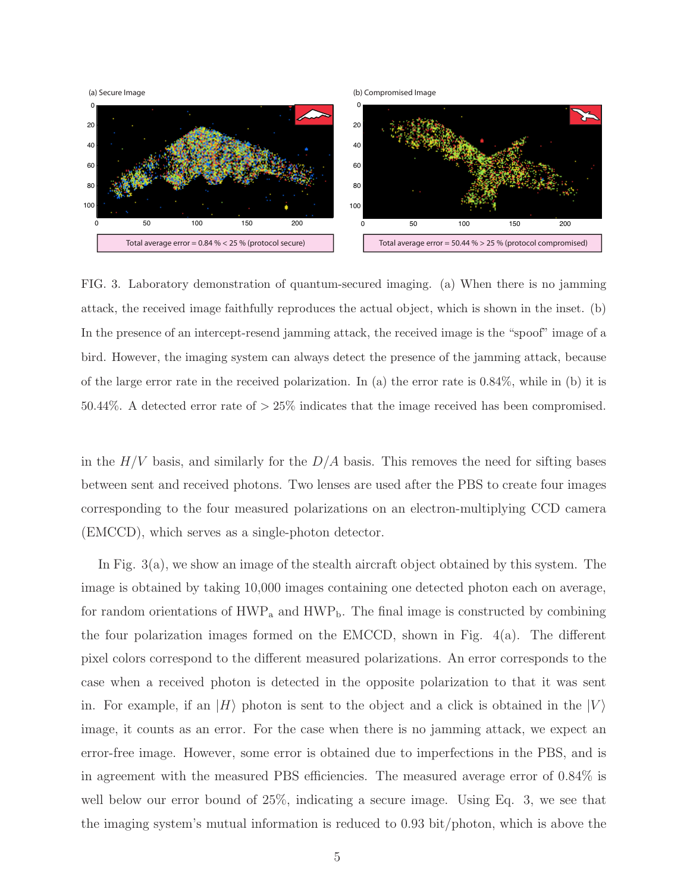

FIG. 3. Laboratory demonstration of quantum-secured imaging. (a) When there is no jamming attack, the received image faithfully reproduces the actual object, which is shown in the inset. (b) In the presence of an intercept-resend jamming attack, the received image is the "spoof" image of a bird. However, the imaging system can always detect the presence of the jamming attack, because of the large error rate in the received polarization. In (a) the error rate is  $0.84\%$ , while in (b) it is 50.44%. A detected error rate of  $>$  25% indicates that the image received has been compromised.

in the  $H/V$  basis, and similarly for the  $D/A$  basis. This removes the need for sifting bases between sent and received photons. Two lenses are used after the PBS to create four images corresponding to the four measured polarizations on an electron-multiplying CCD camera (EMCCD), which serves as a single-photon detector.

In Fig. 3(a), we show an image of the stealth aircraft object obtained by this system. The image is obtained by taking 10,000 images containing one detected photon each on average, for random orientations of  $\rm HWP_a$  and  $\rm HWP_b$ . The final image is constructed by combining the four polarization images formed on the EMCCD, shown in Fig. 4(a). The different pixel colors correspond to the different measured polarizations. An error corresponds to the case when a received photon is detected in the opposite polarization to that it was sent in. For example, if an  $|H\rangle$  photon is sent to the object and a click is obtained in the  $|V\rangle$ image, it counts as an error. For the case when there is no jamming attack, we expect an error-free image. However, some error is obtained due to imperfections in the PBS, and is in agreement with the measured PBS efficiencies. The measured average error of 0.84% is well below our error bound of 25%, indicating a secure image. Using Eq. 3, we see that the imaging system's mutual information is reduced to 0.93 bit/photon, which is above the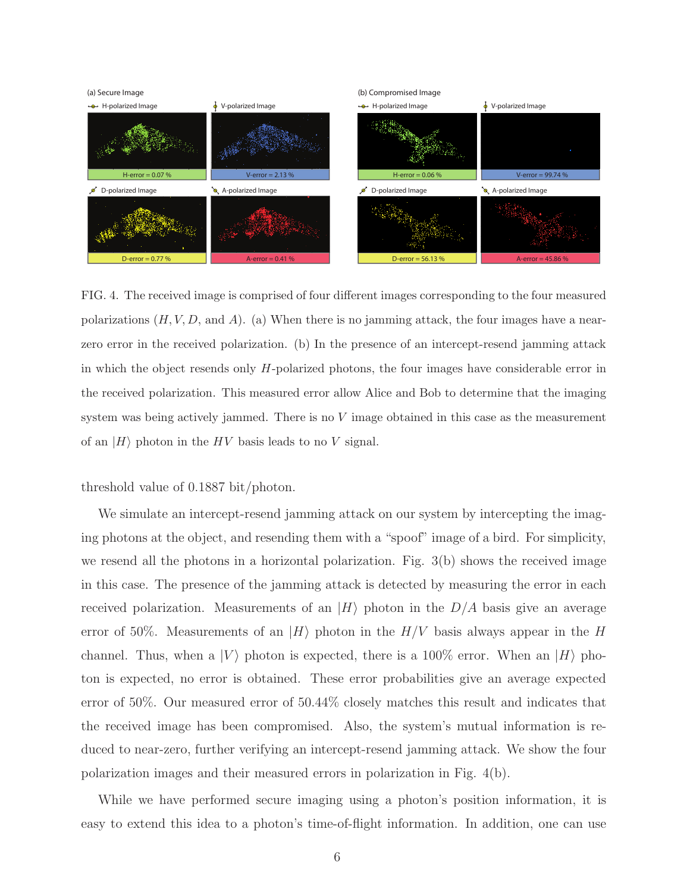

FIG. 4. The received image is comprised of four different images corresponding to the four measured polarizations  $(H, V, D, \text{ and } A)$ . (a) When there is no jamming attack, the four images have a nearzero error in the received polarization. (b) In the presence of an intercept-resend jamming attack in which the object resends only H-polarized photons, the four images have considerable error in the received polarization. This measured error allow Alice and Bob to determine that the imaging system was being actively jammed. There is no  $V$  image obtained in this case as the measurement of an  $|H\rangle$  photon in the HV basis leads to no V signal.

#### threshold value of 0.1887 bit/photon.

We simulate an intercept-resend jamming attack on our system by intercepting the imaging photons at the object, and resending them with a "spoof" image of a bird. For simplicity, we resend all the photons in a horizontal polarization. Fig. 3(b) shows the received image in this case. The presence of the jamming attack is detected by measuring the error in each received polarization. Measurements of an  $|H\rangle$  photon in the  $D/A$  basis give an average error of 50%. Measurements of an  $|H\rangle$  photon in the  $H/V$  basis always appear in the H channel. Thus, when a  $|V\rangle$  photon is expected, there is a 100% error. When an  $|H\rangle$  photon is expected, no error is obtained. These error probabilities give an average expected error of 50%. Our measured error of 50.44% closely matches this result and indicates that the received image has been compromised. Also, the system's mutual information is reduced to near-zero, further verifying an intercept-resend jamming attack. We show the four polarization images and their measured errors in polarization in Fig. 4(b).

While we have performed secure imaging using a photon's position information, it is easy to extend this idea to a photon's time-of-flight information. In addition, one can use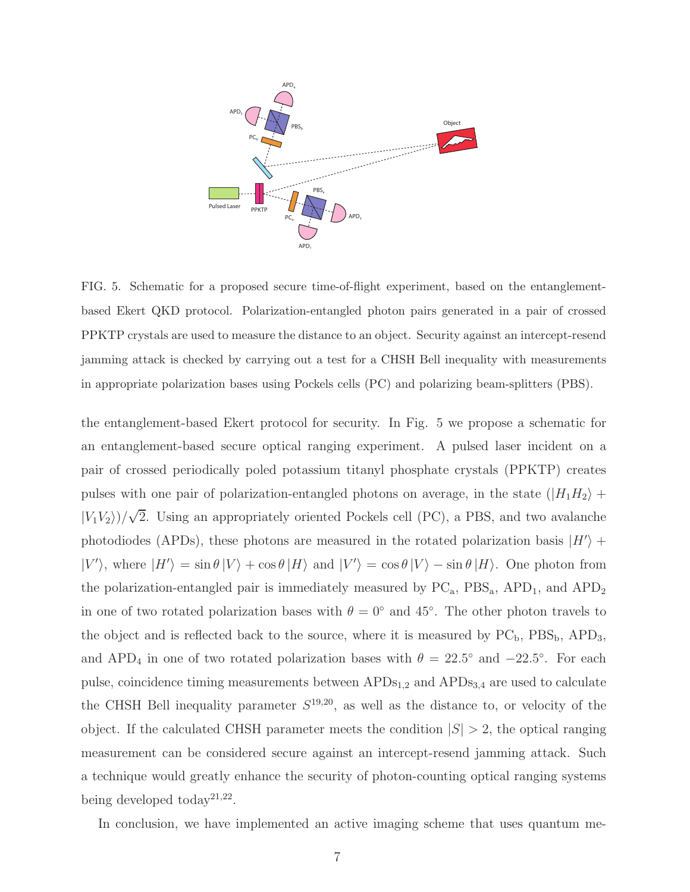

FIG. 5. Schematic for a proposed secure time-of-flight experiment, based on the entanglementbased Ekert QKD protocol. Polarization-entangled photon pairs generated in a pair of crossed PPKTP crystals are used to measure the distance to an object. Security against an intercept-resend jamming attack is checked by carrying out a test for a CHSH Bell inequality with measurements in appropriate polarization bases using Pockels cells (PC) and polarizing beam-splitters (PBS).

the entanglement-based Ekert protocol for security. In Fig. 5 we propose a schematic for an entanglement-based secure optical ranging experiment. A pulsed laser incident on a pair of crossed periodically poled potassium titanyl phosphate crystals (PPKTP) creates pulses with one pair of polarization-entangled photons on average, in the state  $(|H_1H_2\rangle +$  $|V_1V_2\rangle/\sqrt{2}$ . Using an appropriately oriented Pockels cell (PC), a PBS, and two avalanche photodiodes (APDs), these photons are measured in the rotated polarization basis  $|H'\rangle$  +  $|V'\rangle$ , where  $|H'\rangle = \sin \theta |V\rangle + \cos \theta |H\rangle$  and  $|V'\rangle = \cos \theta |V\rangle - \sin \theta |H\rangle$ . One photon from the polarization-entangled pair is immediately measured by  $PC_a$ ,  $PBS_a$ ,  $APD_1$ , and  $APD_2$ in one of two rotated polarization bases with  $\theta = 0^{\circ}$  and 45°. The other photon travels to the object and is reflected back to the source, where it is measured by  $PC_b$ ,  $PBS_b$ ,  $APD_3$ , and APD<sub>4</sub> in one of two rotated polarization bases with  $\theta = 22.5^{\circ}$  and  $-22.5^{\circ}$ . For each pulse, coincidence timing measurements between  $APDs<sub>1,2</sub>$  and  $APDs<sub>3,4</sub>$  are used to calculate the CHSH Bell inequality parameter  $S^{19,20}$ , as well as the distance to, or velocity of the object. If the calculated CHSH parameter meets the condition  $|S| > 2$ , the optical ranging measurement can be considered secure against an intercept-resend jamming attack. Such a technique would greatly enhance the security of photon-counting optical ranging systems being developed today<sup>21,22</sup>.

In conclusion, we have implemented an active imaging scheme that uses quantum me-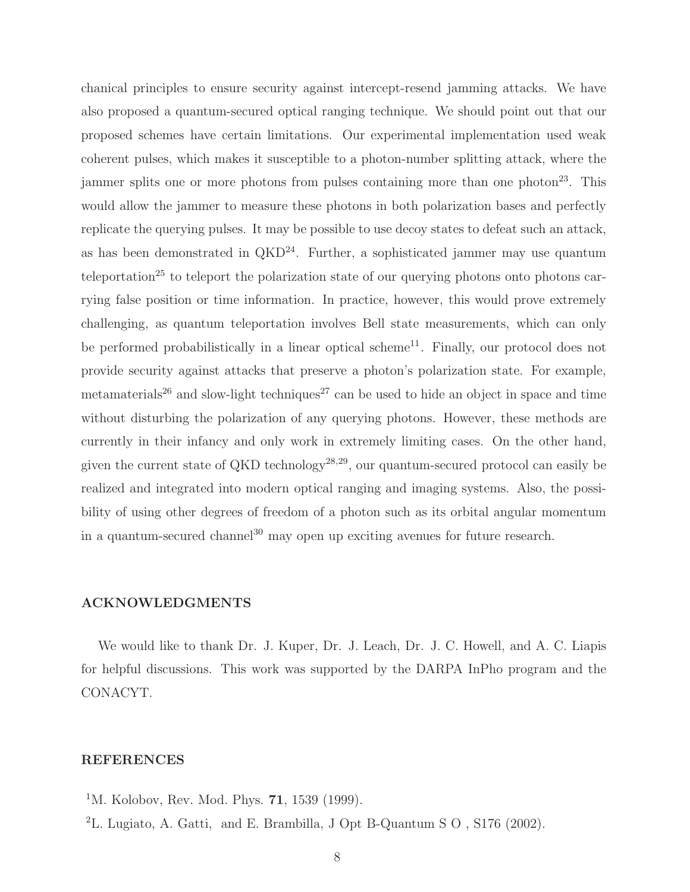chanical principles to ensure security against intercept-resend jamming attacks. We have also proposed a quantum-secured optical ranging technique. We should point out that our proposed schemes have certain limitations. Our experimental implementation used weak coherent pulses, which makes it susceptible to a photon-number splitting attack, where the jammer splits one or more photons from pulses containing more than one photon<sup>23</sup>. This would allow the jammer to measure these photons in both polarization bases and perfectly replicate the querying pulses. It may be possible to use decoy states to defeat such an attack, as has been demonstrated in  $QKD^{24}$ . Further, a sophisticated jammer may use quantum teleportation<sup>25</sup> to teleport the polarization state of our querying photons onto photons carrying false position or time information. In practice, however, this would prove extremely challenging, as quantum teleportation involves Bell state measurements, which can only be performed probabilistically in a linear optical scheme $^{11}$ . Finally, our protocol does not provide security against attacks that preserve a photon's polarization state. For example, metamaterials<sup>26</sup> and slow-light techniques<sup>27</sup> can be used to hide an object in space and time without disturbing the polarization of any querying photons. However, these methods are currently in their infancy and only work in extremely limiting cases. On the other hand, given the current state of QKD technology<sup>28,29</sup>, our quantum-secured protocol can easily be realized and integrated into modern optical ranging and imaging systems. Also, the possibility of using other degrees of freedom of a photon such as its orbital angular momentum in a quantum-secured channel<sup>30</sup> may open up exciting avenues for future research.

#### ACKNOWLEDGMENTS

We would like to thank Dr. J. Kuper, Dr. J. Leach, Dr. J. C. Howell, and A. C. Liapis for helpful discussions. This work was supported by the DARPA InPho program and the CONACYT.

#### REFERENCES

- <sup>1</sup>M. Kolobov, Rev. Mod. Phys. **71**, 1539 (1999).
- <sup>2</sup>L. Lugiato, A. Gatti, and E. Brambilla, J Opt B-Quantum S O , S176 (2002).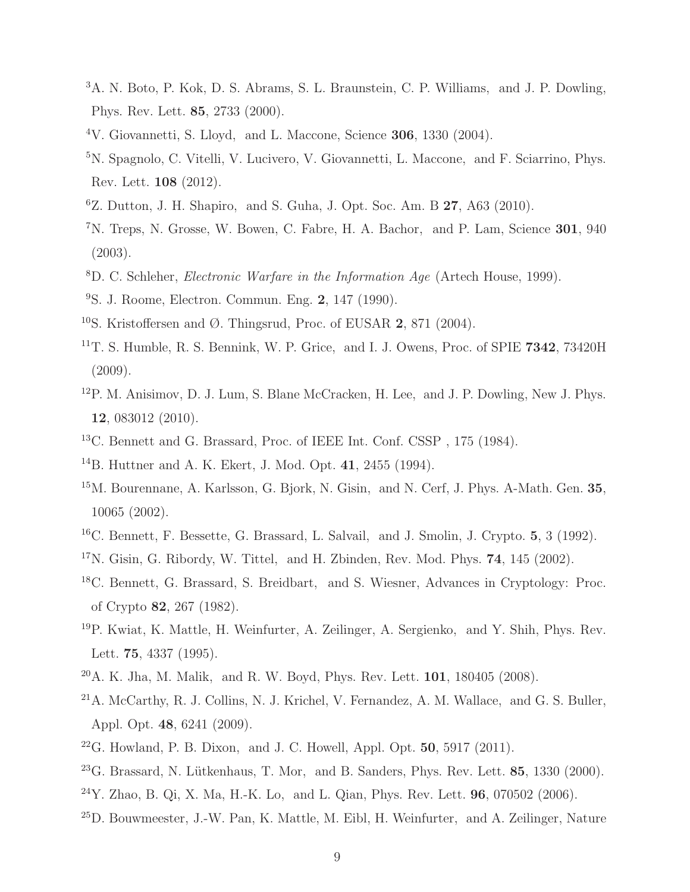- <sup>3</sup>A. N. Boto, P. Kok, D. S. Abrams, S. L. Braunstein, C. P. Williams, and J. P. Dowling, Phys. Rev. Lett. 85, 2733 (2000).
- <sup>4</sup>V. Giovannetti, S. Lloyd, and L. Maccone, Science 306, 1330 (2004).
- <sup>5</sup>N. Spagnolo, C. Vitelli, V. Lucivero, V. Giovannetti, L. Maccone, and F. Sciarrino, Phys. Rev. Lett. 108 (2012).
- ${}^{6}Z$ . Dutton, J. H. Shapiro, and S. Guha, J. Opt. Soc. Am. B 27, A63 (2010).
- <sup>7</sup>N. Treps, N. Grosse, W. Bowen, C. Fabre, H. A. Bachor, and P. Lam, Science 301, 940 (2003).
- $8D$ . C. Schleher, *Electronic Warfare in the Information Age* (Artech House, 1999).
- <sup>9</sup>S. J. Roome, Electron. Commun. Eng. 2, 147 (1990).
- <sup>10</sup>S. Kristoffersen and Ø. Thingsrud, Proc. of EUSAR 2, 871 (2004).
- <sup>11</sup>T. S. Humble, R. S. Bennink, W. P. Grice, and I. J. Owens, Proc. of SPIE 7342, 73420H (2009).
- <sup>12</sup>P. M. Anisimov, D. J. Lum, S. Blane McCracken, H. Lee, and J. P. Dowling, New J. Phys. 12, 083012 (2010).
- <sup>13</sup>C. Bennett and G. Brassard, Proc. of IEEE Int. Conf. CSSP , 175 (1984).
- <sup>14</sup>B. Huttner and A. K. Ekert, J. Mod. Opt. 41, 2455 (1994).
- <sup>15</sup>M. Bourennane, A. Karlsson, G. Bjork, N. Gisin, and N. Cerf, J. Phys. A-Math. Gen. 35, 10065 (2002).
- <sup>16</sup>C. Bennett, F. Bessette, G. Brassard, L. Salvail, and J. Smolin, J. Crypto. 5, 3 (1992).
- $17N$ . Gisin, G. Ribordy, W. Tittel, and H. Zbinden, Rev. Mod. Phys. 74, 145 (2002).
- <sup>18</sup>C. Bennett, G. Brassard, S. Breidbart, and S. Wiesner, Advances in Cryptology: Proc. of Crypto 82, 267 (1982).
- <sup>19</sup>P. Kwiat, K. Mattle, H. Weinfurter, A. Zeilinger, A. Sergienko, and Y. Shih, Phys. Rev. Lett. 75, 4337 (1995).
- <sup>20</sup>A. K. Jha, M. Malik, and R. W. Boyd, Phys. Rev. Lett. 101, 180405 (2008).
- <sup>21</sup>A. McCarthy, R. J. Collins, N. J. Krichel, V. Fernandez, A. M. Wallace, and G. S. Buller, Appl. Opt. 48, 6241 (2009).
- <sup>22</sup>G. Howland, P. B. Dixon, and J. C. Howell, Appl. Opt.  $50, 5917$  (2011).
- $^{23}$ G. Brassard, N. Lütkenhaus, T. Mor, and B. Sanders, Phys. Rev. Lett. 85, 1330 (2000).
- $^{24}Y$ . Zhao, B. Qi, X. Ma, H.-K. Lo, and L. Qian, Phys. Rev. Lett. **96**, 070502 (2006).
- <sup>25</sup>D. Bouwmeester, J.-W. Pan, K. Mattle, M. Eibl, H. Weinfurter, and A. Zeilinger, Nature